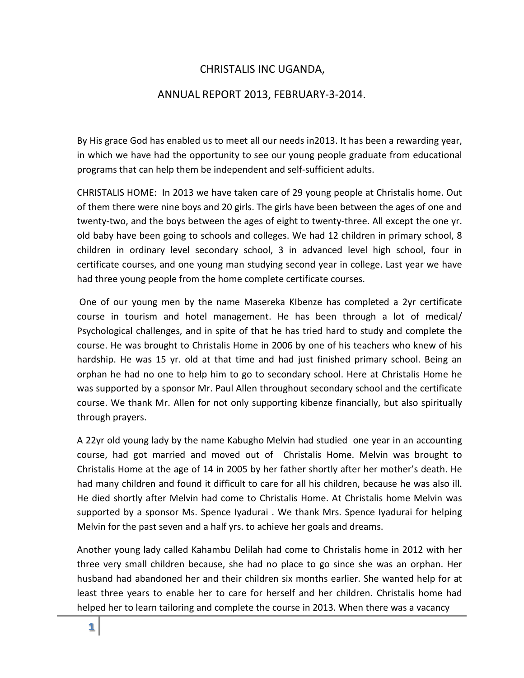## CHRISTALIS INC UGANDA,

## ANNUAL REPORT 2013, FEBRUARY-3-2014.

By His grace God has enabled us to meet all our needs in2013. It has been a rewarding year, in which we have had the opportunity to see our young people graduate from educational programs that can help them be independent and self-sufficient adults.

CHRISTALIS HOME: In 2013 we have taken care of 29 young people at Christalis home. Out of them there were nine boys and 20 girls. The girls have been between the ages of one and twenty-two, and the boys between the ages of eight to twenty-three. All except the one yr. old baby have been going to schools and colleges. We had 12 children in primary school, 8 children in ordinary level secondary school, 3 in advanced level high school, four in certificate courses, and one young man studying second year in college. Last year we have had three young people from the home complete certificate courses.

One of our young men by the name Masereka KIbenze has completed a 2yr certificate course in tourism and hotel management. He has been through a lot of medical/ Psychological challenges, and in spite of that he has tried hard to study and complete the course. He was brought to Christalis Home in 2006 by one of his teachers who knew of his hardship. He was 15 yr. old at that time and had just finished primary school. Being an orphan he had no one to help him to go to secondary school. Here at Christalis Home he was supported by a sponsor Mr. Paul Allen throughout secondary school and the certificate course. We thank Mr. Allen for not only supporting kibenze financially, but also spiritually through prayers.

A 22yr old young lady by the name Kabugho Melvin had studied one year in an accounting course, had got married and moved out of Christalis Home. Melvin was brought to Christalis Home at the age of 14 in 2005 by her father shortly after her mother's death. He had many children and found it difficult to care for all his children, because he was also ill. He died shortly after Melvin had come to Christalis Home. At Christalis home Melvin was supported by a sponsor Ms. Spence Iyadurai . We thank Mrs. Spence Iyadurai for helping Melvin for the past seven and a half yrs. to achieve her goals and dreams.

Another young lady called Kahambu Delilah had come to Christalis home in 2012 with her three very small children because, she had no place to go since she was an orphan. Her husband had abandoned her and their children six months earlier. She wanted help for at least three years to enable her to care for herself and her children. Christalis home had helped her to learn tailoring and complete the course in 2013. When there was a vacancy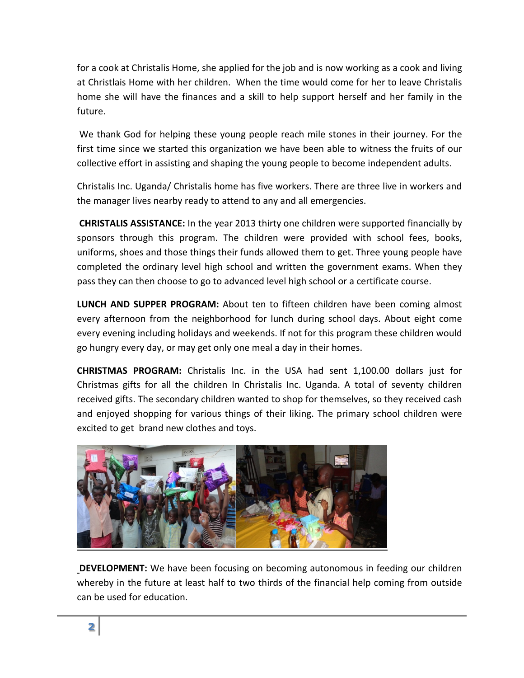for a cook at Christalis Home, she applied for the job and is now working as a cook and living at Christlais Home with her children. When the time would come for her to leave Christalis home she will have the finances and a skill to help support herself and her family in the future.

We thank God for helping these young people reach mile stones in their journey. For the first time since we started this organization we have been able to witness the fruits of our collective effort in assisting and shaping the young people to become independent adults.

Christalis Inc. Uganda/ Christalis home has five workers. There are three live in workers and the manager lives nearby ready to attend to any and all emergencies.

**CHRISTALIS ASSISTANCE:** In the year 2013 thirty one children were supported financially by sponsors through this program. The children were provided with school fees, books, uniforms, shoes and those things their funds allowed them to get. Three young people have completed the ordinary level high school and written the government exams. When they pass they can then choose to go to advanced level high school or a certificate course.

**LUNCH AND SUPPER PROGRAM:** About ten to fifteen children have been coming almost every afternoon from the neighborhood for lunch during school days. About eight come every evening including holidays and weekends. If not for this program these children would go hungry every day, or may get only one meal a day in their homes.

**CHRISTMAS PROGRAM:** Christalis Inc. in the USA had sent 1,100.00 dollars just for Christmas gifts for all the children In Christalis Inc. Uganda. A total of seventy children received gifts. The secondary children wanted to shop for themselves, so they received cash and enjoyed shopping for various things of their liking. The primary school children were excited to get brand new clothes and toys.



**DEVELOPMENT:** We have been focusing on becoming autonomous in feeding our children whereby in the future at least half to two thirds of the financial help coming from outside can be used for education.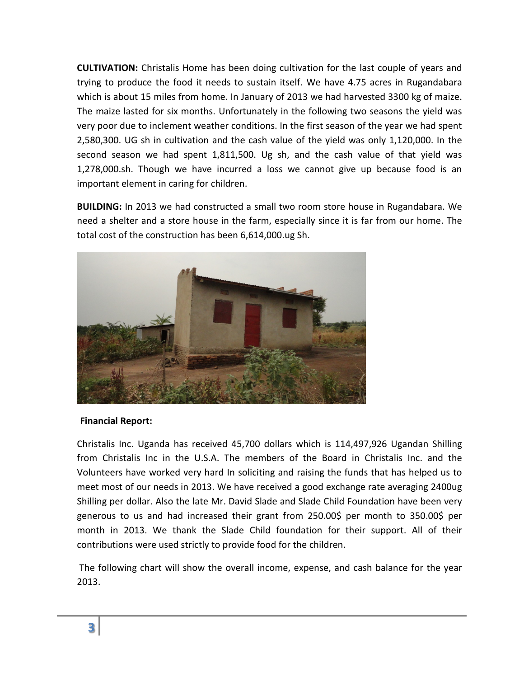**CULTIVATION:** Christalis Home has been doing cultivation for the last couple of years and trying to produce the food it needs to sustain itself. We have 4.75 acres in Rugandabara which is about 15 miles from home. In January of 2013 we had harvested 3300 kg of maize. The maize lasted for six months. Unfortunately in the following two seasons the yield was very poor due to inclement weather conditions. In the first season of the year we had spent 2,580,300. UG sh in cultivation and the cash value of the yield was only 1,120,000. In the second season we had spent 1,811,500. Ug sh, and the cash value of that yield was 1,278,000.sh. Though we have incurred a loss we cannot give up because food is an important element in caring for children.

**BUILDING:** In 2013 we had constructed a small two room store house in Rugandabara. We need a shelter and a store house in the farm, especially since it is far from our home. The total cost of the construction has been 6,614,000.ug Sh.



## **Financial Report:**

Christalis Inc. Uganda has received 45,700 dollars which is 114,497,926 Ugandan Shilling from Christalis Inc in the U.S.A. The members of the Board in Christalis Inc. and the Volunteers have worked very hard In soliciting and raising the funds that has helped us to meet most of our needs in 2013. We have received a good exchange rate averaging 2400ug Shilling per dollar. Also the late Mr. David Slade and Slade Child Foundation have been very generous to us and had increased their grant from 250.00\$ per month to 350.00\$ per month in 2013. We thank the Slade Child foundation for their support. All of their contributions were used strictly to provide food for the children.

The following chart will show the overall income, expense, and cash balance for the year 2013.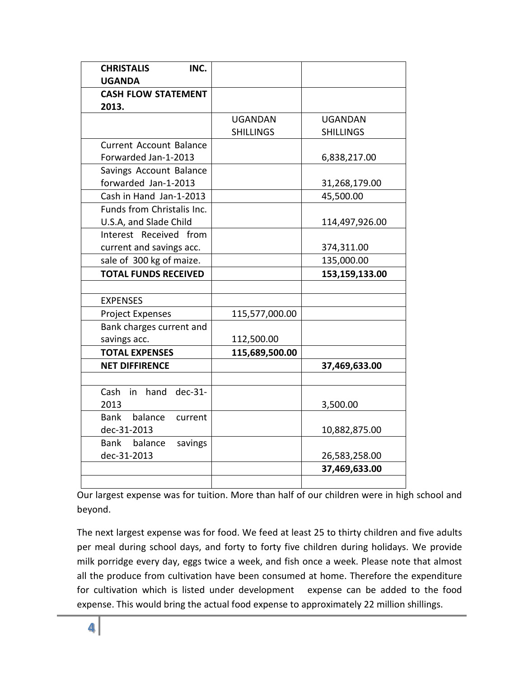| <b>CHRISTALIS</b><br>INC.      |                  |                  |
|--------------------------------|------------------|------------------|
| <b>UGANDA</b>                  |                  |                  |
| <b>CASH FLOW STATEMENT</b>     |                  |                  |
| 2013.                          |                  |                  |
|                                | <b>UGANDAN</b>   | <b>UGANDAN</b>   |
|                                | <b>SHILLINGS</b> | <b>SHILLINGS</b> |
| <b>Current Account Balance</b> |                  |                  |
| Forwarded Jan-1-2013           |                  | 6,838,217.00     |
| Savings Account Balance        |                  |                  |
| forwarded Jan-1-2013           |                  | 31,268,179.00    |
| Cash in Hand Jan-1-2013        |                  | 45,500.00        |
| Funds from Christalis Inc.     |                  |                  |
| U.S.A, and Slade Child         |                  | 114,497,926.00   |
| Interest Received from         |                  |                  |
| current and savings acc.       |                  | 374,311.00       |
| sale of 300 kg of maize.       |                  | 135,000.00       |
| <b>TOTAL FUNDS RECEIVED</b>    |                  | 153,159,133.00   |
|                                |                  |                  |
| <b>EXPENSES</b>                |                  |                  |
| <b>Project Expenses</b>        | 115,577,000.00   |                  |
| Bank charges current and       |                  |                  |
| savings acc.                   | 112,500.00       |                  |
| <b>TOTAL EXPENSES</b>          | 115,689,500.00   |                  |
| <b>NET DIFFIRENCE</b>          |                  | 37,469,633.00    |
|                                |                  |                  |
| dec-31-<br>Cash<br>hand<br>in  |                  |                  |
| 2013                           |                  | 3,500.00         |
| Bank balance<br>current        |                  |                  |
| dec-31-2013                    |                  | 10,882,875.00    |
| Bank balance<br>savings        |                  |                  |
| dec-31-2013                    |                  | 26,583,258.00    |
|                                |                  | 37,469,633.00    |
|                                |                  |                  |

Our largest expense was for tuition. More than half of our children were in high school and beyond.

The next largest expense was for food. We feed at least 25 to thirty children and five adults per meal during school days, and forty to forty five children during holidays. We provide milk porridge every day, eggs twice a week, and fish once a week. Please note that almost all the produce from cultivation have been consumed at home. Therefore the expenditure for cultivation which is listed under development expense can be added to the food expense. This would bring the actual food expense to approximately 22 million shillings.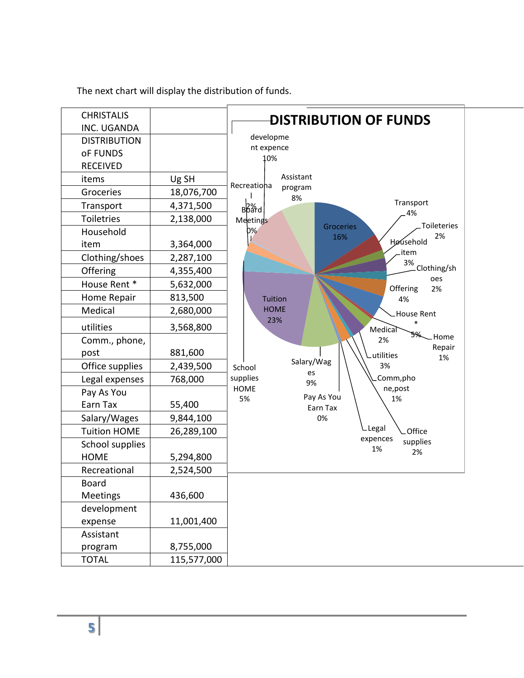